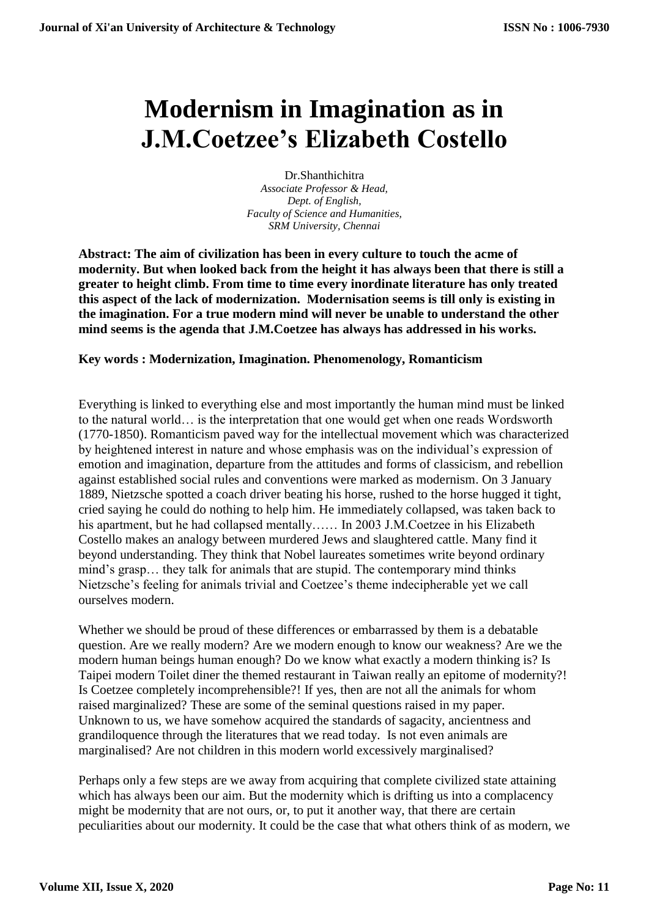## **Modernism in Imagination as in J.M.Coetzee's Elizabeth Costello**

Dr.Shanthichitra *Associate Professor & Head, Dept. of English, Faculty of Science and Humanities, SRM University, Chennai*

**Abstract: The aim of civilization has been in every culture to touch the acme of modernity. But when looked back from the height it has always been that there is still a greater to height climb. From time to time every inordinate literature has only treated this aspect of the lack of modernization. Modernisation seems is till only is existing in the imagination. For a true modern mind will never be unable to understand the other mind seems is the agenda that J.M.Coetzee has always has addressed in his works.** 

## **Key words : Modernization, Imagination. Phenomenology, Romanticism**

Everything is linked to everything else and most importantly the human mind must be linked to the natural world… is the interpretation that one would get when one reads Wordsworth (1770-1850). Romanticism paved way for the intellectual movement which was characterized by heightened interest in nature and whose emphasis was on the individual's expression of emotion and imagination, departure from the attitudes and forms of classicism, and rebellion against established social rules and conventions were marked as modernism. On 3 January 1889, Nietzsche spotted a coach driver beating his horse, rushed to the horse hugged it tight, cried saying he could do nothing to help him. He immediately collapsed, was taken back to his apartment, but he had collapsed mentally…… In 2003 J.M.Coetzee in his Elizabeth Costello makes an analogy between murdered Jews and slaughtered cattle. Many find it beyond understanding. They think that Nobel laureates sometimes write beyond ordinary mind's grasp… they talk for animals that are stupid. The contemporary mind thinks Nietzsche's feeling for animals trivial and Coetzee's theme indecipherable yet we call ourselves modern.

Whether we should be proud of these differences or embarrassed by them is a debatable question. Are we really modern? Are we modern enough to know our weakness? Are we the modern human beings human enough? Do we know what exactly a modern thinking is? Is Taipei modern Toilet diner the themed restaurant in Taiwan really an epitome of modernity?! Is Coetzee completely incomprehensible?! If yes, then are not all the animals for whom raised marginalized? These are some of the seminal questions raised in my paper. Unknown to us, we have somehow acquired the standards of sagacity, ancientness and grandiloquence through the literatures that we read today. Is not even animals are marginalised? Are not children in this modern world excessively marginalised?

Perhaps only a few steps are we away from acquiring that complete civilized state attaining which has always been our aim. But the modernity which is drifting us into a complacency might be modernity that are not ours, or, to put it another way, that there are certain peculiarities about our modernity. It could be the case that what others think of as modern, we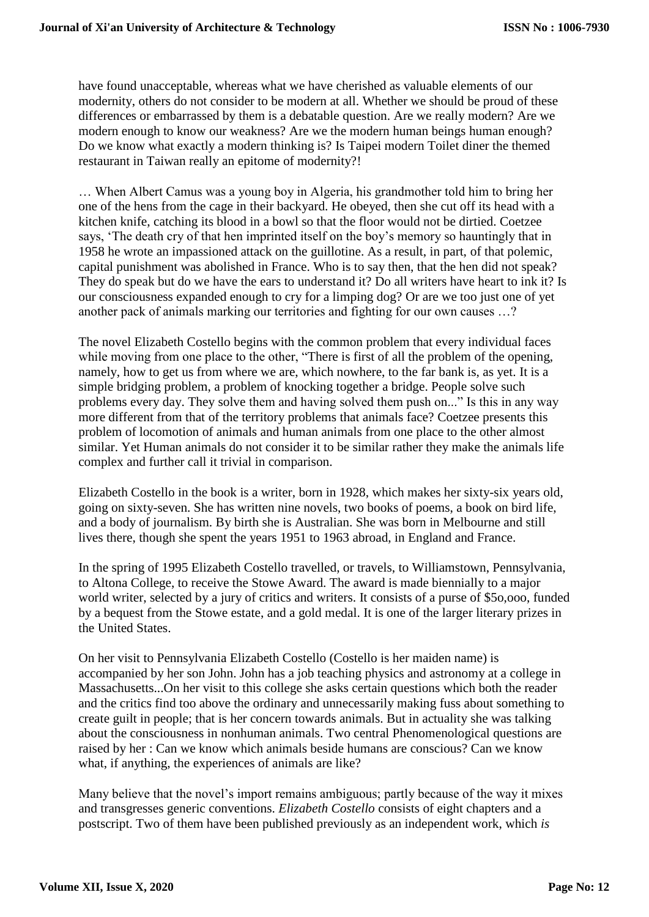have found unacceptable, whereas what we have cherished as valuable elements of our modernity, others do not consider to be modern at all. Whether we should be proud of these differences or embarrassed by them is a debatable question. Are we really modern? Are we modern enough to know our weakness? Are we the modern human beings human enough? Do we know what exactly a modern thinking is? Is Taipei modern Toilet diner the themed restaurant in Taiwan really an epitome of modernity?!

… When Albert Camus was a young boy in Algeria, his grandmother told him to bring her one of the hens from the cage in their backyard. He obeyed, then she cut off its head with a kitchen knife, catching its blood in a bowl so that the floor would not be dirtied. Coetzee says, 'The death cry of that hen imprinted itself on the boy's memory so hauntingly that in 1958 he wrote an impassioned attack on the guillotine. As a result, in part, of that polemic, capital punishment was abolished in France. Who is to say then, that the hen did not speak? They do speak but do we have the ears to understand it? Do all writers have heart to ink it? Is our consciousness expanded enough to cry for a limping dog? Or are we too just one of yet another pack of animals marking our territories and fighting for our own causes …?

The novel Elizabeth Costello begins with the common problem that every individual faces while moving from one place to the other, "There is first of all the problem of the opening, namely, how to get us from where we are, which nowhere, to the far bank is, as yet. It is a simple bridging problem, a problem of knocking together a bridge. People solve such problems every day. They solve them and having solved them push on..." Is this in any way more different from that of the territory problems that animals face? Coetzee presents this problem of locomotion of animals and human animals from one place to the other almost similar. Yet Human animals do not consider it to be similar rather they make the animals life complex and further call it trivial in comparison.

Elizabeth Costello in the book is a writer, born in 1928, which makes her sixty-six years old, going on sixty-seven. She has written nine novels, two books of poems, a book on bird life, and a body of journalism. By birth she is Australian. She was born in Melbourne and still lives there, though she spent the years 1951 to 1963 abroad, in England and France.

In the spring of 1995 Elizabeth Costello travelled, or travels, to Williamstown, Pennsylvania, to Altona College, to receive the Stowe Award. The award is made biennially to a major world writer, selected by a jury of critics and writers. It consists of a purse of \$5o,ooo, funded by a bequest from the Stowe estate, and a gold medal. It is one of the larger literary prizes in the United States.

On her visit to Pennsylvania Elizabeth Costello (Costello is her maiden name) is accompanied by her son John. John has a job teaching physics and astronomy at a college in Massachusetts...On her visit to this college she asks certain questions which both the reader and the critics find too above the ordinary and unnecessarily making fuss about something to create guilt in people; that is her concern towards animals. But in actuality she was talking about the consciousness in nonhuman animals. Two central Phenomenological questions are raised by her : Can we know which animals beside humans are conscious? Can we know what, if anything, the experiences of animals are like?

Many believe that the novel's import remains ambiguous; partly because of the way it mixes and transgresses generic conventions. *Elizabeth Costello* consists of eight chapters and a postscript. Two of them have been published previously as an independent work, which *is*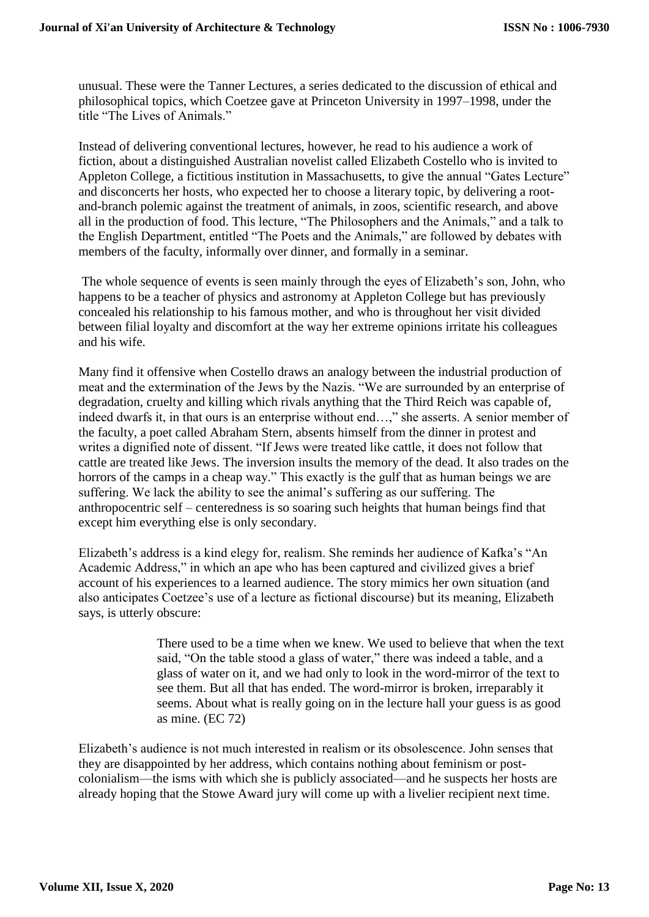unusual. These were the Tanner Lectures, a series dedicated to the discussion of ethical and philosophical topics, which Coetzee gave at Princeton University in 1997–1998, under the title "The Lives of Animals."

Instead of delivering conventional lectures, however, he read to his audience a work of fiction, about a distinguished Australian novelist called Elizabeth Costello who is invited to Appleton College, a fictitious institution in Massachusetts, to give the annual "Gates Lecture" and disconcerts her hosts, who expected her to choose a literary topic, by delivering a rootand-branch polemic against the treatment of animals, in zoos, scientific research, and above all in the production of food. This lecture, "The Philosophers and the Animals," and a talk to the English Department, entitled "The Poets and the Animals," are followed by debates with members of the faculty, informally over dinner, and formally in a seminar.

The whole sequence of events is seen mainly through the eyes of Elizabeth's son, John, who happens to be a teacher of physics and astronomy at Appleton College but has previously concealed his relationship to his famous mother, and who is throughout her visit divided between filial loyalty and discomfort at the way her extreme opinions irritate his colleagues and his wife.

Many find it offensive when Costello draws an analogy between the industrial production of meat and the extermination of the Jews by the Nazis. "We are surrounded by an enterprise of degradation, cruelty and killing which rivals anything that the Third Reich was capable of, indeed dwarfs it, in that ours is an enterprise without end…," she asserts. A senior member of the faculty, a poet called Abraham Stern, absents himself from the dinner in protest and writes a dignified note of dissent. "If Jews were treated like cattle, it does not follow that cattle are treated like Jews. The inversion insults the memory of the dead. It also trades on the horrors of the camps in a cheap way." This exactly is the gulf that as human beings we are suffering. We lack the ability to see the animal's suffering as our suffering. The anthropocentric self – centeredness is so soaring such heights that human beings find that except him everything else is only secondary.

Elizabeth's address is a kind elegy for, realism. She reminds her audience of Kafka's "An Academic Address," in which an ape who has been captured and civilized gives a brief account of his experiences to a learned audience. The story mimics her own situation (and also anticipates Coetzee's use of a lecture as fictional discourse) but its meaning, Elizabeth says, is utterly obscure:

> There used to be a time when we knew. We used to believe that when the text said, "On the table stood a glass of water," there was indeed a table, and a glass of water on it, and we had only to look in the word-mirror of the text to see them. But all that has ended. The word-mirror is broken, irreparably it seems. About what is really going on in the lecture hall your guess is as good as mine. (EC 72)

Elizabeth's audience is not much interested in realism or its obsolescence. John senses that they are disappointed by her address, which contains nothing about feminism or postcolonialism—the isms with which she is publicly associated—and he suspects her hosts are already hoping that the Stowe Award jury will come up with a livelier recipient next time.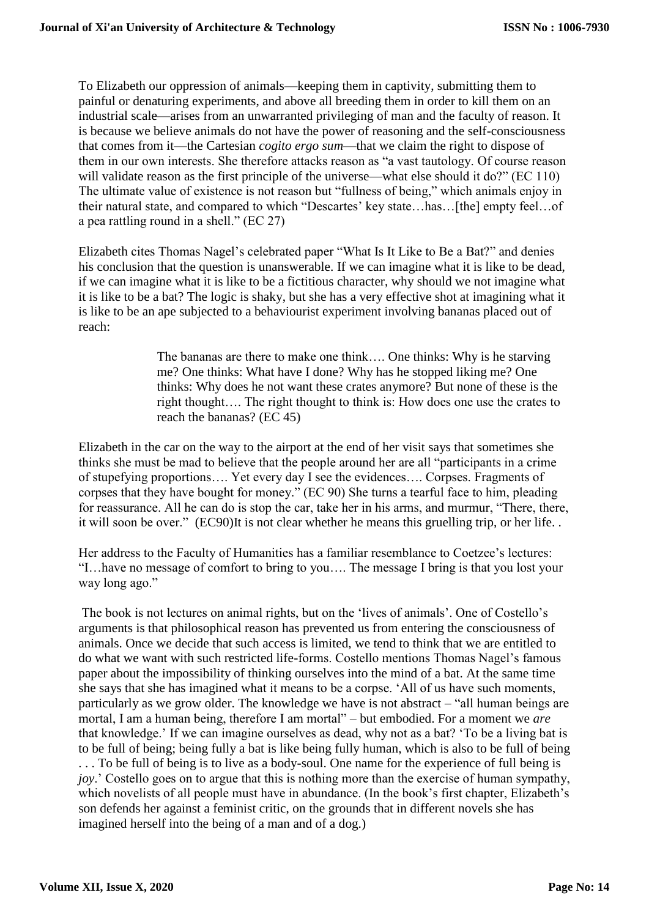To Elizabeth our oppression of animals—keeping them in captivity, submitting them to painful or denaturing experiments, and above all breeding them in order to kill them on an industrial scale—arises from an unwarranted privileging of man and the faculty of reason. It is because we believe animals do not have the power of reasoning and the self-consciousness that comes from it—the Cartesian *cogito ergo sum*—that we claim the right to dispose of them in our own interests. She therefore attacks reason as "a vast tautology. Of course reason will validate reason as the first principle of the universe—what else should it do?" (EC 110) The ultimate value of existence is not reason but "fullness of being," which animals enjoy in their natural state, and compared to which "Descartes' key state…has…[the] empty feel…of a pea rattling round in a shell." (EC 27)

Elizabeth cites Thomas Nagel's celebrated paper "What Is It Like to Be a Bat?" and denies his conclusion that the question is unanswerable. If we can imagine what it is like to be dead, if we can imagine what it is like to be a fictitious character, why should we not imagine what it is like to be a bat? The logic is shaky, but she has a very effective shot at imagining what it is like to be an ape subjected to a behaviourist experiment involving bananas placed out of reach:

> The bananas are there to make one think…. One thinks: Why is he starving me? One thinks: What have I done? Why has he stopped liking me? One thinks: Why does he not want these crates anymore? But none of these is the right thought…. The right thought to think is: How does one use the crates to reach the bananas? (EC 45)

Elizabeth in the car on the way to the airport at the end of her visit says that sometimes she thinks she must be mad to believe that the people around her are all "participants in a crime of stupefying proportions…. Yet every day I see the evidences…. Corpses. Fragments of corpses that they have bought for money." (EC 90) She turns a tearful face to him, pleading for reassurance. All he can do is stop the car, take her in his arms, and murmur, "There, there, it will soon be over." (EC90)It is not clear whether he means this gruelling trip, or her life. .

Her address to the Faculty of Humanities has a familiar resemblance to Coetzee's lectures: "I…have no message of comfort to bring to you…. The message I bring is that you lost your way long ago."

The book is not lectures on animal rights, but on the 'lives of animals'. One of Costello's arguments is that philosophical reason has prevented us from entering the consciousness of animals. Once we decide that such access is limited, we tend to think that we are entitled to do what we want with such restricted life-forms. Costello mentions Thomas Nagel's famous paper about the impossibility of thinking ourselves into the mind of a bat. At the same time she says that she has imagined what it means to be a corpse. 'All of us have such moments, particularly as we grow older. The knowledge we have is not abstract – "all human beings are mortal, I am a human being, therefore I am mortal" – but embodied. For a moment we *are* that knowledge.' If we can imagine ourselves as dead, why not as a bat? 'To be a living bat is to be full of being; being fully a bat is like being fully human, which is also to be full of being . . . To be full of being is to live as a body-soul. One name for the experience of full being is *joy*.' Costello goes on to argue that this is nothing more than the exercise of human sympathy, which novelists of all people must have in abundance. (In the book's first chapter, Elizabeth's son defends her against a feminist critic, on the grounds that in different novels she has imagined herself into the being of a man and of a dog.)